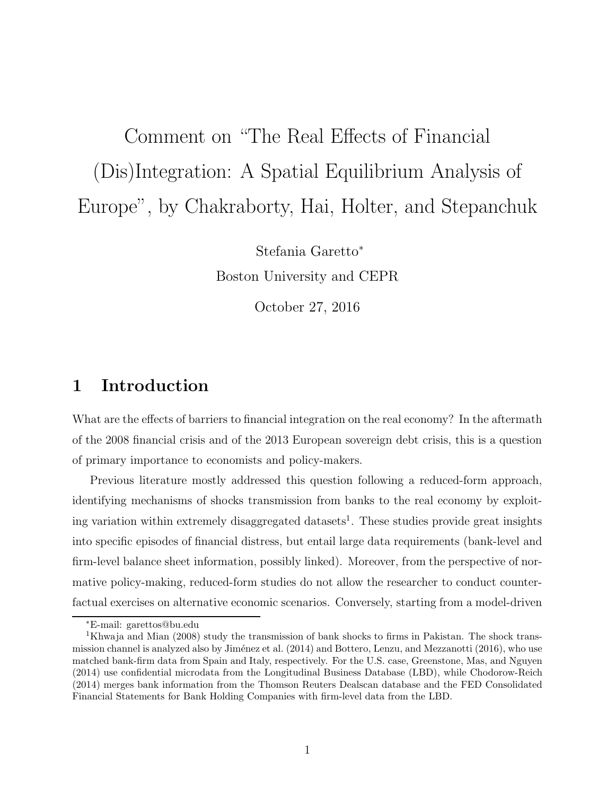# Comment on "The Real Effects of Financial (Dis)Integration: A Spatial Equilibrium Analysis of Europe", by Chakraborty, Hai, Holter, and Stepanchuk

Stefania Garetto<sup>∗</sup> Boston University and CEPR October 27, 2016

1 Introduction

What are the effects of barriers to financial integration on the real economy? In the aftermath of the 2008 financial crisis and of the 2013 European sovereign debt crisis, this is a question of primary importance to economists and policy-makers.

Previous literature mostly addressed this question following a reduced-form approach, identifying mechanisms of shocks transmission from banks to the real economy by exploiting variation within extremely disaggregated datasets<sup>1</sup>. These studies provide great insights into specific episodes of financial distress, but entail large data requirements (bank-level and firm-level balance sheet information, possibly linked). Moreover, from the perspective of normative policy-making, reduced-form studies do not allow the researcher to conduct counterfactual exercises on alternative economic scenarios. Conversely, starting from a model-driven

<sup>∗</sup>E-mail: garettos@bu.edu

<sup>&</sup>lt;sup>1</sup>Khwaja and Mian (2008) study the transmission of bank shocks to firms in Pakistan. The shock transmission channel is analyzed also by Jiménez et al.  $(2014)$  and Bottero, Lenzu, and Mezzanotti  $(2016)$ , who use matched bank-firm data from Spain and Italy, respectively. For the U.S. case, Greenstone, Mas, and Nguyen (2014) use confidential microdata from the Longitudinal Business Database (LBD), while Chodorow-Reich (2014) merges bank information from the Thomson Reuters Dealscan database and the FED Consolidated Financial Statements for Bank Holding Companies with firm-level data from the LBD.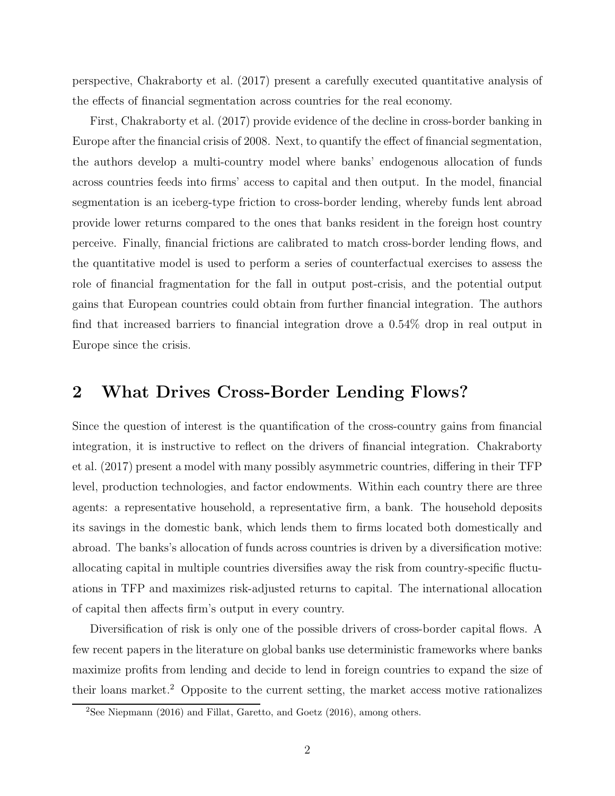perspective, Chakraborty et al. (2017) present a carefully executed quantitative analysis of the effects of financial segmentation across countries for the real economy.

First, Chakraborty et al. (2017) provide evidence of the decline in cross-border banking in Europe after the financial crisis of 2008. Next, to quantify the effect of financial segmentation, the authors develop a multi-country model where banks' endogenous allocation of funds across countries feeds into firms' access to capital and then output. In the model, financial segmentation is an iceberg-type friction to cross-border lending, whereby funds lent abroad provide lower returns compared to the ones that banks resident in the foreign host country perceive. Finally, financial frictions are calibrated to match cross-border lending flows, and the quantitative model is used to perform a series of counterfactual exercises to assess the role of financial fragmentation for the fall in output post-crisis, and the potential output gains that European countries could obtain from further financial integration. The authors find that increased barriers to financial integration drove a 0.54% drop in real output in Europe since the crisis.

#### 2 What Drives Cross-Border Lending Flows?

Since the question of interest is the quantification of the cross-country gains from financial integration, it is instructive to reflect on the drivers of financial integration. Chakraborty et al. (2017) present a model with many possibly asymmetric countries, differing in their TFP level, production technologies, and factor endowments. Within each country there are three agents: a representative household, a representative firm, a bank. The household deposits its savings in the domestic bank, which lends them to firms located both domestically and abroad. The banks's allocation of funds across countries is driven by a diversification motive: allocating capital in multiple countries diversifies away the risk from country-specific fluctuations in TFP and maximizes risk-adjusted returns to capital. The international allocation of capital then affects firm's output in every country.

Diversification of risk is only one of the possible drivers of cross-border capital flows. A few recent papers in the literature on global banks use deterministic frameworks where banks maximize profits from lending and decide to lend in foreign countries to expand the size of their loans market.<sup>2</sup> Opposite to the current setting, the market access motive rationalizes

<sup>2</sup>See Niepmann (2016) and Fillat, Garetto, and Goetz (2016), among others.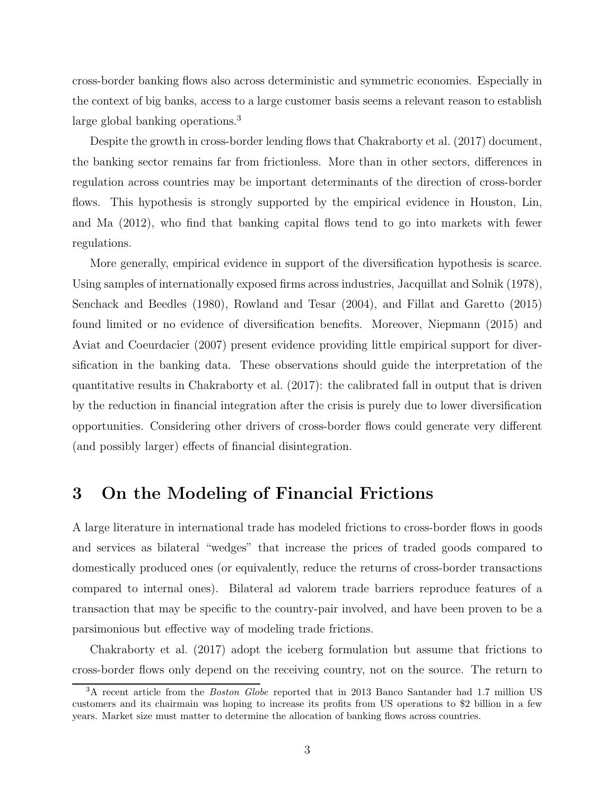cross-border banking flows also across deterministic and symmetric economies. Especially in the context of big banks, access to a large customer basis seems a relevant reason to establish large global banking operations.<sup>3</sup>

Despite the growth in cross-border lending flows that Chakraborty et al. (2017) document, the banking sector remains far from frictionless. More than in other sectors, differences in regulation across countries may be important determinants of the direction of cross-border flows. This hypothesis is strongly supported by the empirical evidence in Houston, Lin, and Ma (2012), who find that banking capital flows tend to go into markets with fewer regulations.

More generally, empirical evidence in support of the diversification hypothesis is scarce. Using samples of internationally exposed firms across industries, Jacquillat and Solnik (1978), Senchack and Beedles (1980), Rowland and Tesar (2004), and Fillat and Garetto (2015) found limited or no evidence of diversification benefits. Moreover, Niepmann (2015) and Aviat and Coeurdacier (2007) present evidence providing little empirical support for diversification in the banking data. These observations should guide the interpretation of the quantitative results in Chakraborty et al. (2017): the calibrated fall in output that is driven by the reduction in financial integration after the crisis is purely due to lower diversification opportunities. Considering other drivers of cross-border flows could generate very different (and possibly larger) effects of financial disintegration.

### 3 On the Modeling of Financial Frictions

A large literature in international trade has modeled frictions to cross-border flows in goods and services as bilateral "wedges" that increase the prices of traded goods compared to domestically produced ones (or equivalently, reduce the returns of cross-border transactions compared to internal ones). Bilateral ad valorem trade barriers reproduce features of a transaction that may be specific to the country-pair involved, and have been proven to be a parsimonious but effective way of modeling trade frictions.

Chakraborty et al. (2017) adopt the iceberg formulation but assume that frictions to cross-border flows only depend on the receiving country, not on the source. The return to

<sup>&</sup>lt;sup>3</sup>A recent article from the *Boston Globe* reported that in 2013 Banco Santander had 1.7 million US customers and its chairmain was hoping to increase its profits from US operations to \$2 billion in a few years. Market size must matter to determine the allocation of banking flows across countries.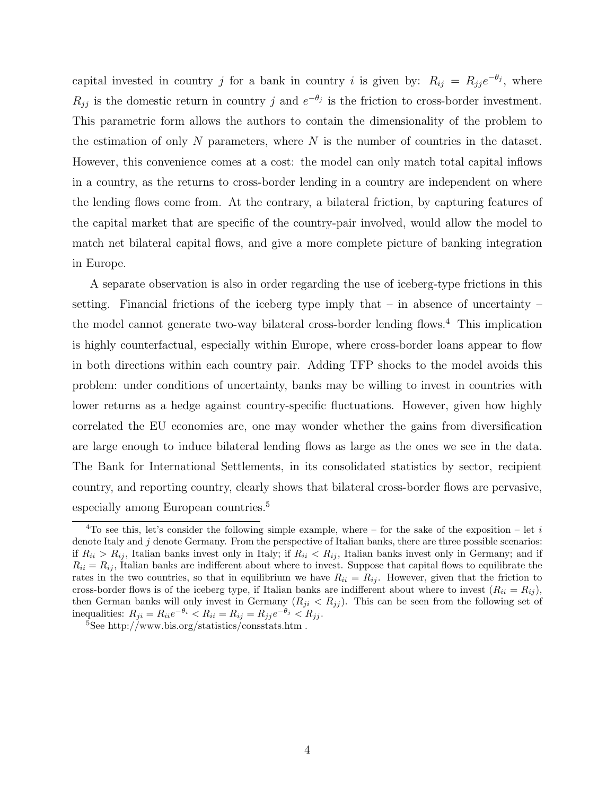capital invested in country j for a bank in country i is given by:  $R_{ij} = R_{jj}e^{-\theta_j}$ , where  $R_{jj}$  is the domestic return in country j and  $e^{-\theta_j}$  is the friction to cross-border investment. This parametric form allows the authors to contain the dimensionality of the problem to the estimation of only  $N$  parameters, where  $N$  is the number of countries in the dataset. However, this convenience comes at a cost: the model can only match total capital inflows in a country, as the returns to cross-border lending in a country are independent on where the lending flows come from. At the contrary, a bilateral friction, by capturing features of the capital market that are specific of the country-pair involved, would allow the model to match net bilateral capital flows, and give a more complete picture of banking integration in Europe.

A separate observation is also in order regarding the use of iceberg-type frictions in this setting. Financial frictions of the iceberg type imply that  $-$  in absence of uncertainty  $$ the model cannot generate two-way bilateral cross-border lending flows.<sup>4</sup> This implication is highly counterfactual, especially within Europe, where cross-border loans appear to flow in both directions within each country pair. Adding TFP shocks to the model avoids this problem: under conditions of uncertainty, banks may be willing to invest in countries with lower returns as a hedge against country-specific fluctuations. However, given how highly correlated the EU economies are, one may wonder whether the gains from diversification are large enough to induce bilateral lending flows as large as the ones we see in the data. The Bank for International Settlements, in its consolidated statistics by sector, recipient country, and reporting country, clearly shows that bilateral cross-border flows are pervasive, especially among European countries.<sup>5</sup>

<sup>&</sup>lt;sup>4</sup>To see this, let's consider the following simple example, where – for the sake of the exposition – let i denote Italy and  $j$  denote Germany. From the perspective of Italian banks, there are three possible scenarios: if  $R_{ii} > R_{ij}$ , Italian banks invest only in Italy; if  $R_{ii} < R_{ij}$ , Italian banks invest only in Germany; and if  $R_{ii} = R_{ii}$ , Italian banks are indifferent about where to invest. Suppose that capital flows to equilibrate the rates in the two countries, so that in equilibrium we have  $R_{ii} = R_{ij}$ . However, given that the friction to cross-border flows is of the iceberg type, if Italian banks are indifferent about where to invest  $(R_{ii} = R_{ij})$ , then German banks will only invest in Germany  $(R_{ji} < R_{jj})$ . This can be seen from the following set of inequalities:  $R_{ji} = R_{ii}e^{-\theta_i} < R_{ii} = R_{ij} = R_{jj}e^{-\theta_j} < R_{jj}$ .

 $5$ See http://www.bis.org/statistics/consstats.htm.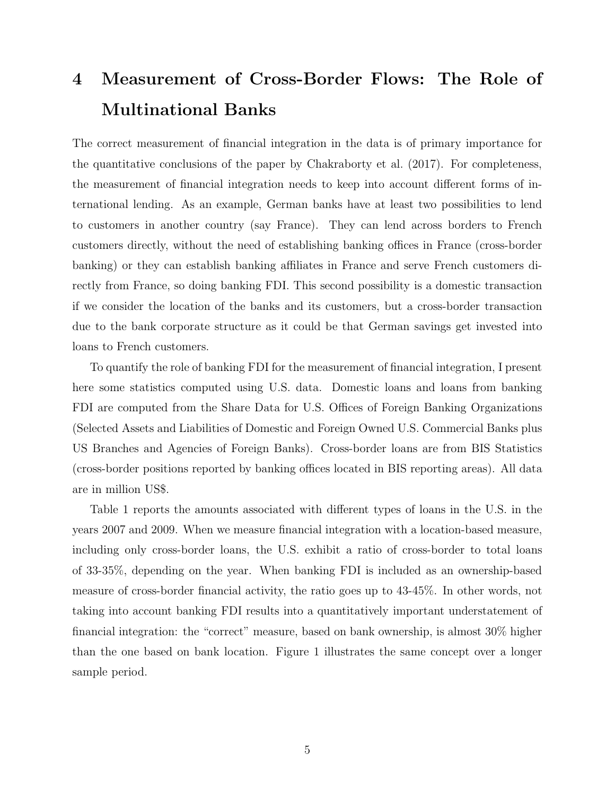## 4 Measurement of Cross-Border Flows: The Role of Multinational Banks

The correct measurement of financial integration in the data is of primary importance for the quantitative conclusions of the paper by Chakraborty et al. (2017). For completeness, the measurement of financial integration needs to keep into account different forms of international lending. As an example, German banks have at least two possibilities to lend to customers in another country (say France). They can lend across borders to French customers directly, without the need of establishing banking offices in France (cross-border banking) or they can establish banking affiliates in France and serve French customers directly from France, so doing banking FDI. This second possibility is a domestic transaction if we consider the location of the banks and its customers, but a cross-border transaction due to the bank corporate structure as it could be that German savings get invested into loans to French customers.

To quantify the role of banking FDI for the measurement of financial integration, I present here some statistics computed using U.S. data. Domestic loans and loans from banking FDI are computed from the Share Data for U.S. Offices of Foreign Banking Organizations (Selected Assets and Liabilities of Domestic and Foreign Owned U.S. Commercial Banks plus US Branches and Agencies of Foreign Banks). Cross-border loans are from BIS Statistics (cross-border positions reported by banking offices located in BIS reporting areas). All data are in million US\$.

Table 1 reports the amounts associated with different types of loans in the U.S. in the years 2007 and 2009. When we measure financial integration with a location-based measure, including only cross-border loans, the U.S. exhibit a ratio of cross-border to total loans of 33-35%, depending on the year. When banking FDI is included as an ownership-based measure of cross-border financial activity, the ratio goes up to 43-45%. In other words, not taking into account banking FDI results into a quantitatively important understatement of financial integration: the "correct" measure, based on bank ownership, is almost 30% higher than the one based on bank location. Figure 1 illustrates the same concept over a longer sample period.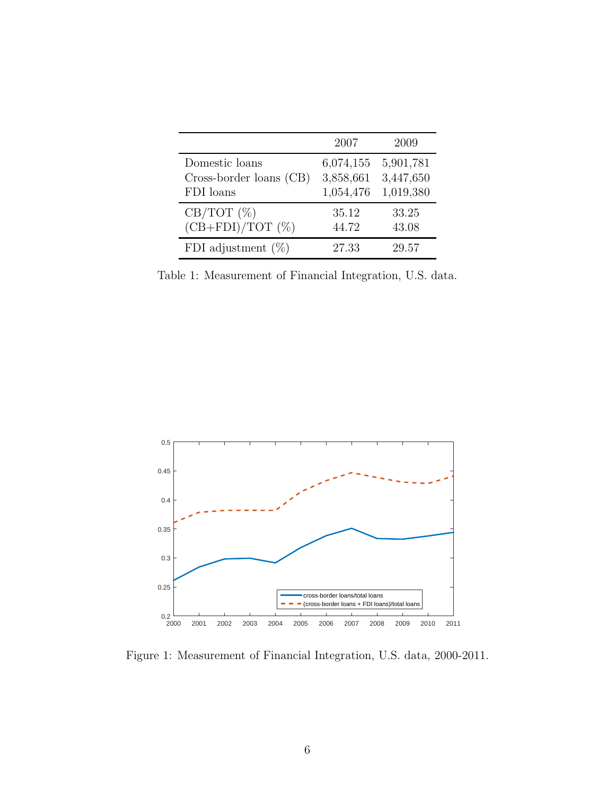|                                                    | 2007                   | 2009                   |
|----------------------------------------------------|------------------------|------------------------|
| Domestic loans<br>$Cross\text{-}border loans (CB)$ | 6,074,155<br>3,858,661 | 5,901,781<br>3,447,650 |
| FDI loans                                          | 1,054,476              | 1,019,380              |
| $CB/TOT(\%)$<br>$(CB + FDI)/TOT$ (%)               | 35.12<br>44.72         | 33.25<br>43.08         |
| FDI adjustment $(\%)$                              | 27.33                  | 29.57                  |

Table 1: Measurement of Financial Integration, U.S. data.



Figure 1: Measurement of Financial Integration, U.S. data, 2000-2011.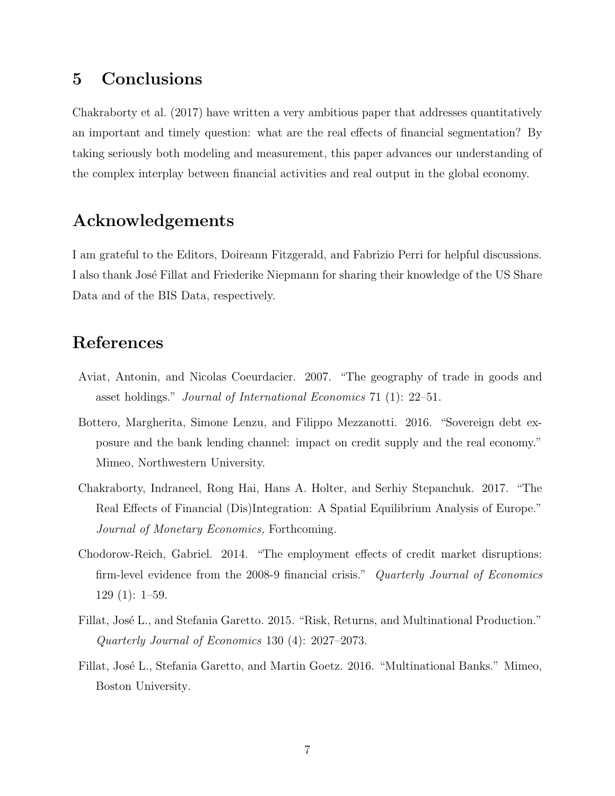### 5 Conclusions

Chakraborty et al. (2017) have written a very ambitious paper that addresses quantitatively an important and timely question: what are the real effects of financial segmentation? By taking seriously both modeling and measurement, this paper advances our understanding of the complex interplay between financial activities and real output in the global economy.

### Acknowledgements

I am grateful to the Editors, Doireann Fitzgerald, and Fabrizio Perri for helpful discussions. I also thank José Fillat and Friederike Niepmann for sharing their knowledge of the US Share Data and of the BIS Data, respectively.

### References

- Aviat, Antonin, and Nicolas Coeurdacier. 2007. "The geography of trade in goods and asset holdings." Journal of International Economics 71 (1): 22–51.
- Bottero, Margherita, Simone Lenzu, and Filippo Mezzanotti. 2016. "Sovereign debt exposure and the bank lending channel: impact on credit supply and the real economy." Mimeo, Northwestern University.
- Chakraborty, Indraneel, Rong Hai, Hans A. Holter, and Serhiy Stepanchuk. 2017. "The Real Effects of Financial (Dis)Integration: A Spatial Equilibrium Analysis of Europe." Journal of Monetary Economics, Forthcoming.
- Chodorow-Reich, Gabriel. 2014. "The employment effects of credit market disruptions: firm-level evidence from the 2008-9 financial crisis." Quarterly Journal of Economics 129 (1): 1–59.
- Fillat, José L., and Stefania Garetto. 2015. "Risk, Returns, and Multinational Production." Quarterly Journal of Economics 130 (4): 2027–2073.
- Fillat, José L., Stefania Garetto, and Martin Goetz. 2016. "Multinational Banks." Mimeo, Boston University.